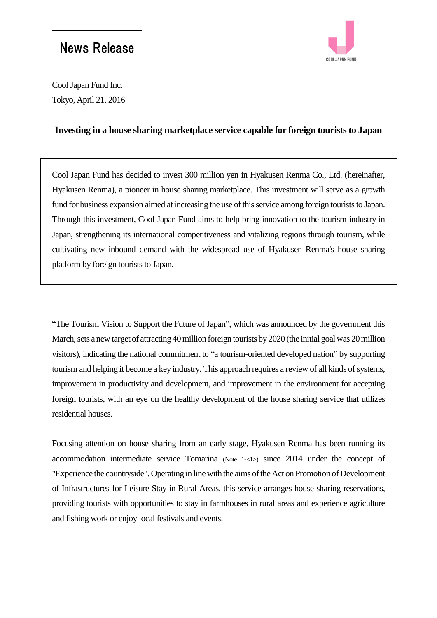

Cool Japan Fund Inc. Tokyo, April 21, 2016

## **Investing in a house sharing marketplace service capable for foreign tourists to Japan**

Cool Japan Fund has decided to invest 300 million yen in Hyakusen Renma Co., Ltd. (hereinafter, Hyakusen Renma), a pioneer in house sharing marketplace. This investment will serve as a growth fund for business expansion aimed at increasing the use of this service among foreign tourists to Japan. Through this investment, Cool Japan Fund aims to help bring innovation to the tourism industry in Japan, strengthening its international competitiveness and vitalizing regions through tourism, while cultivating new inbound demand with the widespread use of Hyakusen Renma's house sharing platform by foreign tourists to Japan.

"The Tourism Vision to Support the Future of Japan", which was announced by the government this March, sets a new target of attracting 40 million foreign tourists by 2020 (the initial goal was 20 million visitors), indicating the national commitment to "a tourism-oriented developed nation" by supporting tourism and helping it become a key industry. This approach requires a review of all kinds of systems, improvement in productivity and development, and improvement in the environment for accepting foreign tourists, with an eye on the healthy development of the house sharing service that utilizes residential houses.

Focusing attention on house sharing from an early stage, Hyakusen Renma has been running its accommodation intermediate service Tomarina (Note 1-<1>) since 2014 under the concept of "Experience the countryside". Operating in line with the aims of the Act on Promotion of Development of Infrastructures for Leisure Stay in Rural Areas, this service arranges house sharing reservations, providing tourists with opportunities to stay in farmhouses in rural areas and experience agriculture and fishing work or enjoy local festivals and events.